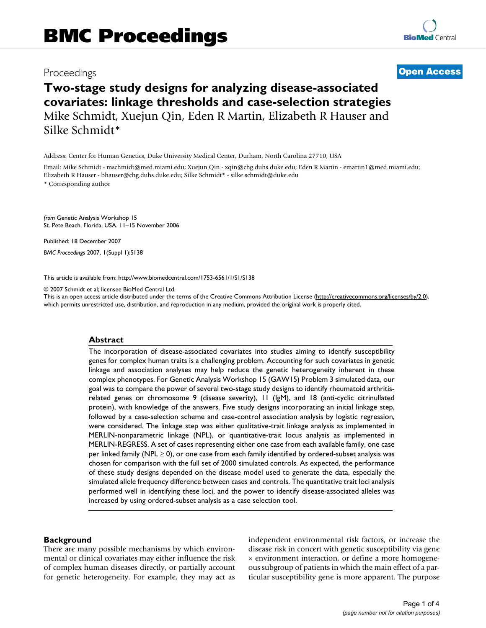# Proceedings **[Open Access](http://www.biomedcentral.com/info/about/charter/)**

# **Two-stage study designs for analyzing disease-associated covariates: linkage thresholds and case-selection strategies** Mike Schmidt, Xuejun Qin, Eden R Martin, Elizabeth R Hauser and Silke Schmidt\*

Address: Center for Human Genetics, Duke University Medical Center, Durham, North Carolina 27710, USA

Email: Mike Schmidt - mschmidt@med.miami.edu; Xuejun Qin - xqin@chg.duhs.duke.edu; Eden R Martin - emartin1@med.miami.edu; Elizabeth R Hauser - bhauser@chg.duhs.duke.edu; Silke Schmidt\* - silke.schmidt@duke.edu

\* Corresponding author

*from* Genetic Analysis Workshop 15 St. Pete Beach, Florida, USA. 11–15 November 2006

Published: 18 December 2007

*BMC Proceedings* 2007, **1**(Suppl 1):S138

[This article is available from: http://www.biomedcentral.com/1753-6561/1/S1/S138](http://www.biomedcentral.com/1753-6561/1/S1/S138)

© 2007 Schmidt et al; licensee BioMed Central Ltd.

This is an open access article distributed under the terms of the Creative Commons Attribution License [\(http://creativecommons.org/licenses/by/2.0\)](http://creativecommons.org/licenses/by/2.0), which permits unrestricted use, distribution, and reproduction in any medium, provided the original work is properly cited.

# **Abstract**

The incorporation of disease-associated covariates into studies aiming to identify susceptibility genes for complex human traits is a challenging problem. Accounting for such covariates in genetic linkage and association analyses may help reduce the genetic heterogeneity inherent in these complex phenotypes. For Genetic Analysis Workshop 15 (GAW15) Problem 3 simulated data, our goal was to compare the power of several two-stage study designs to identify rheumatoid arthritisrelated genes on chromosome 9 (disease severity), 11 (IgM), and 18 (anti-cyclic citrinullated protein), with knowledge of the answers. Five study designs incorporating an initial linkage step, followed by a case-selection scheme and case-control association analysis by logistic regression, were considered. The linkage step was either qualitative-trait linkage analysis as implemented in MERLIN-nonparametric linkage (NPL), or quantitative-trait locus analysis as implemented in MERLIN-REGRESS. A set of cases representing either one case from each available family, one case per linked family (NPL  $\geq$  0), or one case from each family identified by ordered-subset analysis was chosen for comparison with the full set of 2000 simulated controls. As expected, the performance of these study designs depended on the disease model used to generate the data, especially the simulated allele frequency difference between cases and controls. The quantitative trait loci analysis performed well in identifying these loci, and the power to identify disease-associated alleles was increased by using ordered-subset analysis as a case selection tool.

### **Background**

There are many possible mechanisms by which environmental or clinical covariates may either influence the risk of complex human diseases directly, or partially account for genetic heterogeneity. For example, they may act as independent environmental risk factors, or increase the disease risk in concert with genetic susceptibility via gene × environment interaction, or define a more homogeneous subgroup of patients in which the main effect of a particular susceptibility gene is more apparent. The purpose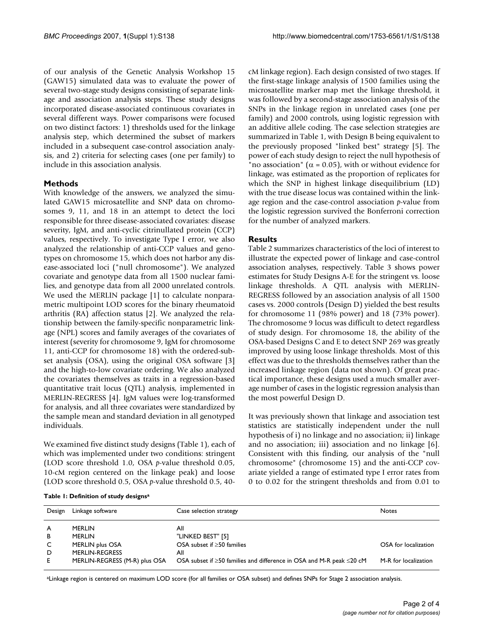of our analysis of the Genetic Analysis Workshop 15 (GAW15) simulated data was to evaluate the power of several two-stage study designs consisting of separate linkage and association analysis steps. These study designs incorporated disease-associated continuous covariates in several different ways. Power comparisons were focused on two distinct factors: 1) thresholds used for the linkage analysis step, which determined the subset of markers included in a subsequent case-control association analysis, and 2) criteria for selecting cases (one per family) to include in this association analysis.

# **Methods**

With knowledge of the answers, we analyzed the simulated GAW15 microsatellite and SNP data on chromosomes 9, 11, and 18 in an attempt to detect the loci responsible for three disease-associated covariates: disease severity, IgM, and anti-cyclic citrinullated protein (CCP) values, respectively. To investigate Type I error, we also analyzed the relationship of anti-CCP values and genotypes on chromosome 15, which does not harbor any disease-associated loci ("null chromosome"). We analyzed covariate and genotype data from all 1500 nuclear families, and genotype data from all 2000 unrelated controls. We used the MERLIN package [1] to calculate nonparametric multipoint LOD scores for the binary rheumatoid arthritis (RA) affection status [2]. We analyzed the relationship between the family-specific nonparametric linkage (NPL) scores and family averages of the covariates of interest (severity for chromosome 9, IgM for chromosome 11, anti-CCP for chromosome 18) with the ordered-subset analysis (OSA), using the original OSA software [3] and the high-to-low covariate ordering. We also analyzed the covariates themselves as traits in a regression-based quantitative trait locus (QTL) analysis, implemented in MERLIN-REGRESS [4]. IgM values were log-transformed for analysis, and all three covariates were standardized by the sample mean and standard deviation in all genotyped individuals.

We examined five distinct study designs (Table 1), each of which was implemented under two conditions: stringent (LOD score threshold 1.0, OSA *p*-value threshold 0.05, 10-cM region centered on the linkage peak) and loose (LOD score threshold 0.5, OSA *p*-value threshold 0.5, 40cM linkage region). Each design consisted of two stages. If the first-stage linkage analysis of 1500 families using the microsatellite marker map met the linkage threshold, it was followed by a second-stage association analysis of the SNPs in the linkage region in unrelated cases (one per family) and 2000 controls, using logistic regression with an additive allele coding. The case selection strategies are summarized in Table 1, with Design B being equivalent to the previously proposed "linked best" strategy [5]. The power of each study design to reject the null hypothesis of "no association" ( $\alpha$  = 0.05), with or without evidence for linkage, was estimated as the proportion of replicates for which the SNP in highest linkage disequilibrium (LD) with the true disease locus was contained within the linkage region and the case-control association *p*-value from the logistic regression survived the Bonferroni correction for the number of analyzed markers.

# **Results**

Table 2 summarizes characteristics of the loci of interest to illustrate the expected power of linkage and case-control association analyses, respectively. Table 3 shows power estimates for Study Designs A-E for the stringent vs. loose linkage thresholds. A QTL analysis with MERLIN-REGRESS followed by an association analysis of all 1500 cases vs. 2000 controls (Design D) yielded the best results for chromosome 11 (98% power) and 18 (73% power). The chromosome 9 locus was difficult to detect regardless of study design. For chromosome 18, the ability of the OSA-based Designs C and E to detect SNP 269 was greatly improved by using loose linkage thresholds. Most of this effect was due to the thresholds themselves rather than the increased linkage region (data not shown). Of great practical importance, these designs used a much smaller average number of cases in the logistic regression analysis than the most powerful Design D.

It was previously shown that linkage and association test statistics are statistically independent under the null hypothesis of i) no linkage and no association; ii) linkage and no association; iii) association and no linkage [6]. Consistent with this finding, our analysis of the "null chromosome" (chromosome 15) and the anti-CCP covariate yielded a range of estimated type I error rates from 0 to 0.02 for the stringent thresholds and from 0.01 to

| Table 1: Definition of study designs <sup>a</sup> |  |  |
|---------------------------------------------------|--|--|
|---------------------------------------------------|--|--|

| Design | Linkage software              | Case selection strategy                                                          | <b>Notes</b>         |
|--------|-------------------------------|----------------------------------------------------------------------------------|----------------------|
|        |                               |                                                                                  |                      |
|        |                               |                                                                                  |                      |
| A      | <b>MERLIN</b>                 | All                                                                              |                      |
| B      | <b>MERLIN</b>                 | "LINKED BEST" [5]                                                                |                      |
| C      | MERLIN plus OSA               | OSA subset if $\geq$ 50 families                                                 | OSA for localization |
| D      | <b>MERLIN-REGRESS</b>         | All                                                                              |                      |
| E.     | MERLIN-REGRESS (M-R) plus OSA | OSA subset if $\geq$ 50 families and difference in OSA and M-R peak $\leq$ 20 cM | M-R for localization |
|        |                               |                                                                                  |                      |

aLinkage region is centered on maximum LOD score (for all families or OSA subset) and defines SNPs for Stage 2 association analysis.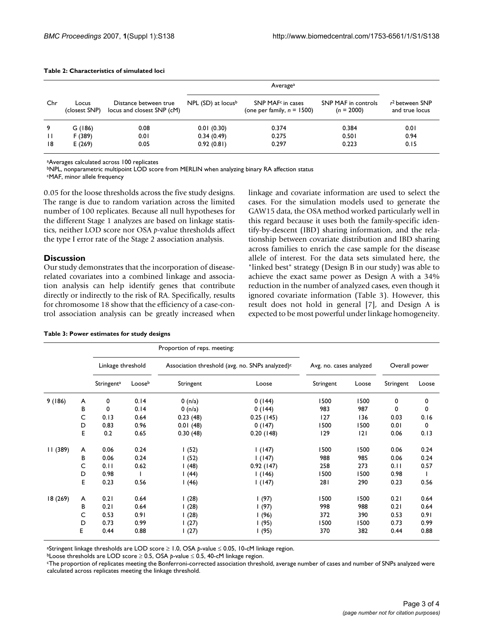| Chr          | Locus<br>(closest SNP) | Distance between true<br>locus and closest SNP (cM) | NPL (SD) at locus <sup>b</sup> | SNP MAF <sup>c</sup> in cases<br>(one per family, $n = 1500$ ) | SNP MAF in controls<br>$(n = 2000)$ | $r^2$ between SNP<br>and true locus |
|--------------|------------------------|-----------------------------------------------------|--------------------------------|----------------------------------------------------------------|-------------------------------------|-------------------------------------|
| 9            | G (186)                | 0.08                                                | 0.01(0.30)                     | 0.374                                                          | 0.384                               | 0.01                                |
| $\mathbf{H}$ | F (389)                | 0.01                                                | 0.34(0.49)                     | 0.275                                                          | 0.501                               | 0.94                                |
| 18           | E(269)                 | 0.05                                                | 0.92(0.81)                     | 0.297                                                          | 0.223                               | 0.15                                |

### **Table 2: Characteristics of simulated loci**

aAverages calculated across 100 replicates

bNPL, nonparametric multipoint LOD score from MERLIN when analyzing binary RA affection status

cMAF, minor allele frequency

0.05 for the loose thresholds across the five study designs. The range is due to random variation across the limited number of 100 replicates. Because all null hypotheses for the different Stage 1 analyzes are based on linkage statistics, neither LOD score nor OSA *p*-value thresholds affect the type I error rate of the Stage 2 association analysis.

## **Discussion**

Our study demonstrates that the incorporation of diseaserelated covariates into a combined linkage and association analysis can help identify genes that contribute directly or indirectly to the risk of RA. Specifically, results for chromosome 18 show that the efficiency of a case-control association analysis can be greatly increased when

|  |  |  | Table 3: Power estimates for study designs |  |  |  |
|--|--|--|--------------------------------------------|--|--|--|
|--|--|--|--------------------------------------------|--|--|--|

linkage and covariate information are used to select the cases. For the simulation models used to generate the GAW15 data, the OSA method worked particularly well in this regard because it uses both the family-specific identify-by-descent (IBD) sharing information, and the relationship between covariate distribution and IBD sharing across families to enrich the case sample for the disease allele of interest. For the data sets simulated here, the "linked best" strategy (Design B in our study) was able to achieve the exact same power as Design A with a 34% reduction in the number of analyzed cases, even though it ignored covariate information (Table 3). However, this result does not hold in general [7], and Design A is expected to be most powerful under linkage homogeneity.

|          |   |                        |        | Proportion of reps. meeting:                                |           |                         |       |               |       |
|----------|---|------------------------|--------|-------------------------------------------------------------|-----------|-------------------------|-------|---------------|-------|
|          |   | Linkage threshold      |        | Association threshold (avg. no. SNPs analyzed) <sup>c</sup> |           | Avg. no. cases analyzed |       | Overall power |       |
|          |   | Stringent <sup>a</sup> | Looseb | Stringent                                                   | Loose     | Stringent               | Loose | Stringent     | Loose |
| 9(186)   | A | 0                      | 0.14   | 0 (n/a)                                                     | 0(144)    | 1500                    | 1500  | 0             | 0     |
|          | В | 0                      | 0.14   | 0(n/a)                                                      | 0(144)    | 983                     | 987   | 0             | 0     |
|          | C | 0.13                   | 0.64   | 0.23(48)                                                    | 0.25(145) | 127                     | 136   | 0.03          | 0.16  |
|          | D | 0.83                   | 0.96   | 0.01(48)                                                    | 0(147)    | 1500                    | 1500  | 0.01          | 0     |
|          | Е | 0.2                    | 0.65   | 0.30(48)                                                    | 0.20(148) | 129                     | 2     | 0.06          | 0.13  |
| 11 (389) | A | 0.06                   | 0.24   | (52)                                                        | 1(147)    | 1500                    | 1500  | 0.06          | 0.24  |
|          | В | 0.06                   | 0.24   | I (52)                                                      | 1(147)    | 988                     | 985   | 0.06          | 0.24  |
|          | C | 0.11                   | 0.62   | (48)                                                        | 0.92(147) | 258                     | 273   | 0.11          | 0.57  |
|          | D | 0.98                   |        | 1(44)                                                       | 1(146)    | 1500                    | 1500  | 0.98          |       |
|          | Е | 0.23                   | 0.56   | I (46)                                                      | 1(147)    | 281                     | 290   | 0.23          | 0.56  |
| 18 (269) | A | 0.21                   | 0.64   | (28)                                                        | 1(97)     | 1500                    | 1500  | 0.21          | 0.64  |
|          | В | 0.21                   | 0.64   | (28)                                                        | l (97)    | 998                     | 988   | 0.21          | 0.64  |
|          | С | 0.53                   | 0.91   | I (28)                                                      | 1(96)     | 372                     | 390   | 0.53          | 0.91  |
|          | D | 0.73                   | 0.99   | 1(27)                                                       | 1(95)     | 1500                    | 1500  | 0.73          | 0.99  |
|          | E | 0.44                   | 0.88   | 1(27)                                                       | l (95)    | 370                     | 382   | 0.44          | 0.88  |

aStringent linkage thresholds are LOD score ≥ 1.0, OSA *p*-value ≤ 0.05, 10-cM linkage region.

bLoose thresholds are LOD score ≥ 0.5, OSA *p*-value ≤ 0.5, 40-cM linkage region.

cThe proportion of replicates meeting the Bonferroni-corrected association threshold, average number of cases and number of SNPs analyzed were calculated across replicates meeting the linkage threshold.